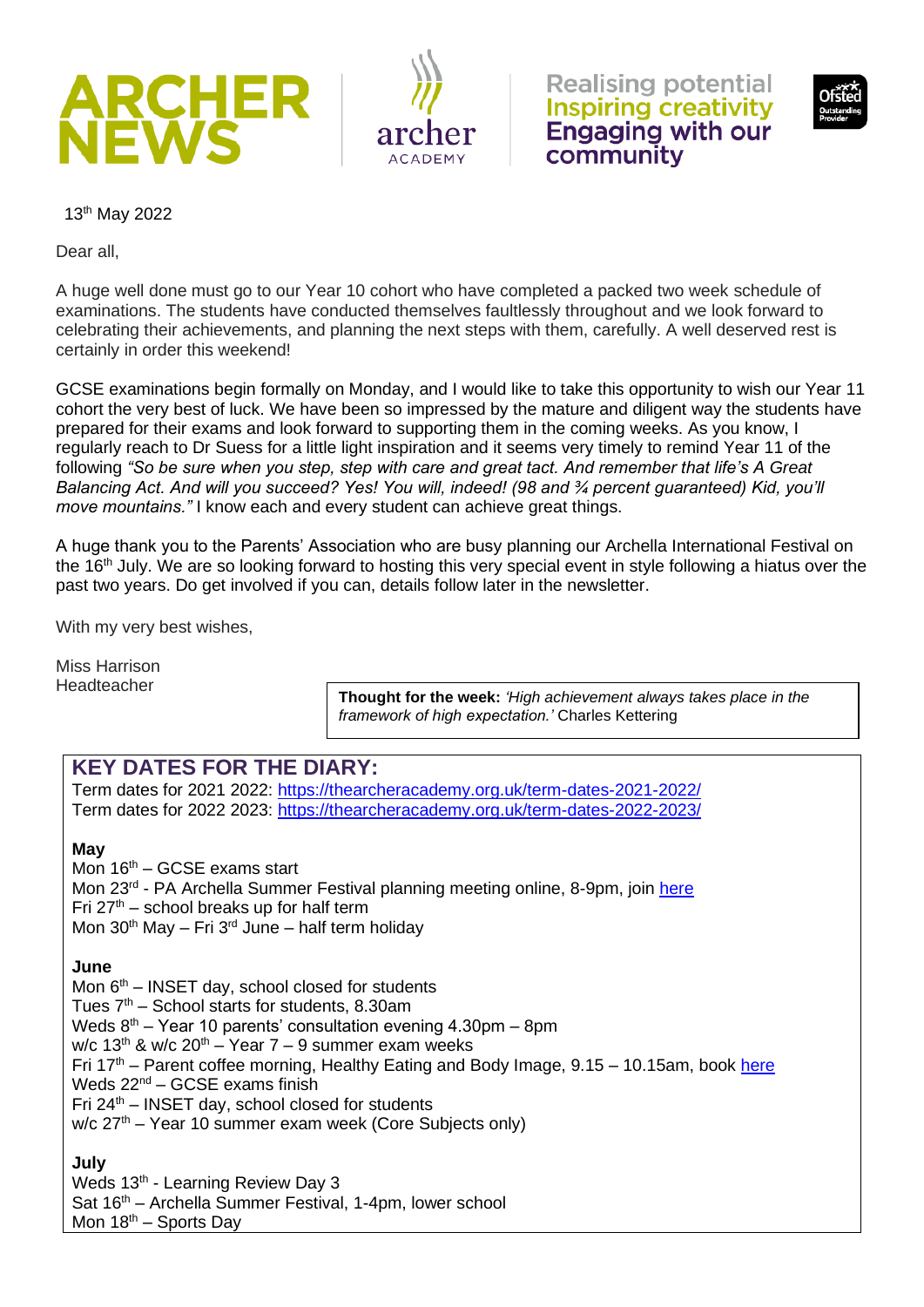



**Realising potential Inspiring creativity Engaging with our** community



13th May 2022

Dear all,

A huge well done must go to our Year 10 cohort who have completed a packed two week schedule of examinations. The students have conducted themselves faultlessly throughout and we look forward to celebrating their achievements, and planning the next steps with them, carefully. A well deserved rest is certainly in order this weekend!

GCSE examinations begin formally on Monday, and I would like to take this opportunity to wish our Year 11 cohort the very best of luck. We have been so impressed by the mature and diligent way the students have prepared for their exams and look forward to supporting them in the coming weeks. As you know, I regularly reach to Dr Suess for a little light inspiration and it seems very timely to remind Year 11 of the following *"So be sure when you step, step with care and great tact. And remember that life's A Great Balancing Act. And will you succeed? Yes! You will, indeed! (98 and ¾ percent guaranteed) Kid, you'll move mountains."* I know each and every student can achieve great things.

A huge thank you to the Parents' Association who are busy planning our Archella International Festival on the 16<sup>th</sup> July. We are so looking forward to hosting this very special event in style following a hiatus over the past two years. Do get involved if you can, details follow later in the newsletter.

With my very best wishes,

Miss Harrison Headteacher

**Thought for the week:** *'High achievement always takes place in the framework of high expectation.'* Charles Kettering

### **KEY DATES FOR THE DIARY:**

Term dates for 2021 2022:<https://thearcheracademy.org.uk/term-dates-2021-2022/> Term dates for 2022 2023:<https://thearcheracademy.org.uk/term-dates-2022-2023/>

#### **May**

Mon  $16<sup>th</sup>$  – GCSE exams start Mon 23<sup>rd</sup> - PA Archella Summer Festival planning meeting online, 8-9pm, join [here](https://teams.microsoft.com/l/meetup-join/19%3ameeting_OTEyMTc3ZTctNDUyNi00ODdmLWFjNWEtZWJjMTJjNDBmZjAw%40thread.v2/0?context=%7b%22Tid%22%3a%22d919d3da-48a4-416b-8b1c-5abc87f9e819%22%2c%22Oid%22%3a%229eb27a95-92ec-4d93-a95b-4fad881d54d5%22%7d) Fri  $27<sup>th</sup>$  – school breaks up for half term Mon  $30<sup>th</sup>$  May – Fri  $3<sup>rd</sup>$  June – half term holiday

#### **June**

Mon  $6<sup>th</sup>$  – INSET day, school closed for students

Tues  $7<sup>th</sup>$  – School starts for students, 8.30am

Weds  $8<sup>th</sup>$  – Year 10 parents' consultation evening 4.30pm – 8pm

w/c  $13<sup>th</sup>$  & w/c  $20<sup>th</sup>$  – Year 7 – 9 summer exam weeks

Fri  $17<sup>th</sup>$  – Parent coffee morning, Healthy Eating and Body Image, 9.15 – 10.15am, book [here](https://www.eventbrite.co.uk/e/parents-coffee-morning-healthy-diet-body-image-tickets-332834957317)

Weds  $22^{nd}$  – GCSE exams finish

Fri  $24<sup>th</sup>$  – INSET day, school closed for students

 $w/c$  27<sup>th</sup> – Year 10 summer exam week (Core Subjects only)

#### **July**

Weds 13<sup>th</sup> - Learning Review Day 3

Sat 16<sup>th</sup> – Archella Summer Festival, 1-4pm, lower school

Mon  $18<sup>th</sup>$  – Sports Day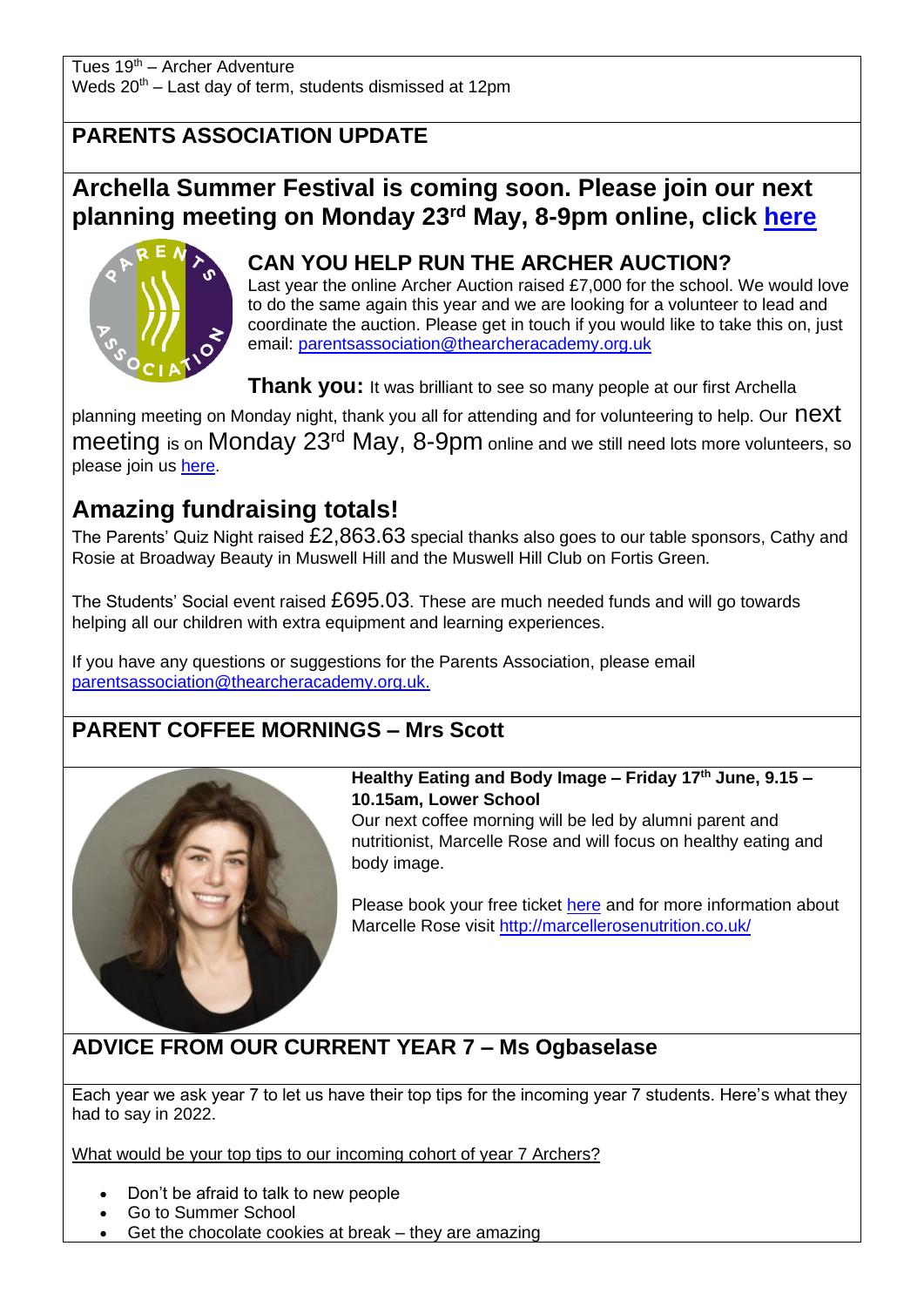Tues 19th – Archer Adventure Weds  $20<sup>th</sup>$  – Last day of term, students dismissed at 12pm

### **PARENTS ASSOCIATION UPDATE**

## **Archella Summer Festival is coming soon. Please join our next planning meeting on Monday 23rd May, 8-9pm online, click [here](https://teams.microsoft.com/l/meetup-join/19%3ameeting_OTEyMTc3ZTctNDUyNi00ODdmLWFjNWEtZWJjMTJjNDBmZjAw%40thread.v2/0?context=%7b%22Tid%22%3a%22d919d3da-48a4-416b-8b1c-5abc87f9e819%22%2c%22Oid%22%3a%229eb27a95-92ec-4d93-a95b-4fad881d54d5%22%7d)**



### **CAN YOU HELP RUN THE ARCHER AUCTION?**

Last year the online Archer Auction raised £7,000 for the school. We would love to do the same again this year and we are looking for a volunteer to lead and coordinate the auction. Please get in touch if you would like to take this on, just email: [parentsassociation@thearcheracademy.org.uk](mailto:parentsassociation@thearcheracademy.org.uk)

**Thank you:** It was brilliant to see so many people at our first Archella

planning meeting on Monday night, thank you all for attending and for volunteering to help. Our  $\text{next}$ meeting is on Monday 23<sup>rd</sup> May, 8-9pm online and we still need lots more volunteers, so please join us [here.](https://teams.microsoft.com/l/meetup-join/19%3ameeting_OTEyMTc3ZTctNDUyNi00ODdmLWFjNWEtZWJjMTJjNDBmZjAw%40thread.v2/0?context=%7b%22Tid%22%3a%22d919d3da-48a4-416b-8b1c-5abc87f9e819%22%2c%22Oid%22%3a%229eb27a95-92ec-4d93-a95b-4fad881d54d5%22%7d)

## **Amazing fundraising totals!**

The Parents' Quiz Night raised £2,863.63 special thanks also goes to our table sponsors, Cathy and Rosie at Broadway Beauty in Muswell Hill and the Muswell Hill Club on Fortis Green.

The Students' Social event raised £695.03. These are much needed funds and will go towards helping all our children with extra equipment and learning experiences.

If you have any questions or suggestions for the Parents Association, please email [parentsassociation@thearcheracademy.org.uk.](mailto:parentsassociation@thearcheracademy.org.uk)

### **PARENT COFFEE MORNINGS – Mrs Scott**



#### **Healthy Eating and Body Image – Friday 17th June, 9.15 – 10.15am, Lower School**

Our next coffee morning will be led by alumni parent and nutritionist, Marcelle Rose and will focus on healthy eating and body image.

Please book your free ticket [here](https://www.eventbrite.co.uk/e/parents-coffee-morning-healthy-diet-body-image-tickets-332834957317) and for more information about Marcelle Rose visit<http://marcellerosenutrition.co.uk/>

# **ADVICE FROM OUR CURRENT YEAR 7 – Ms Ogbaselase**

Each year we ask year 7 to let us have their top tips for the incoming year 7 students. Here's what they had to say in 2022.

What would be your top tips to our incoming cohort of year 7 Archers?

- Don't be afraid to talk to new people
- Go to Summer School
- Get the chocolate cookies at break they are amazing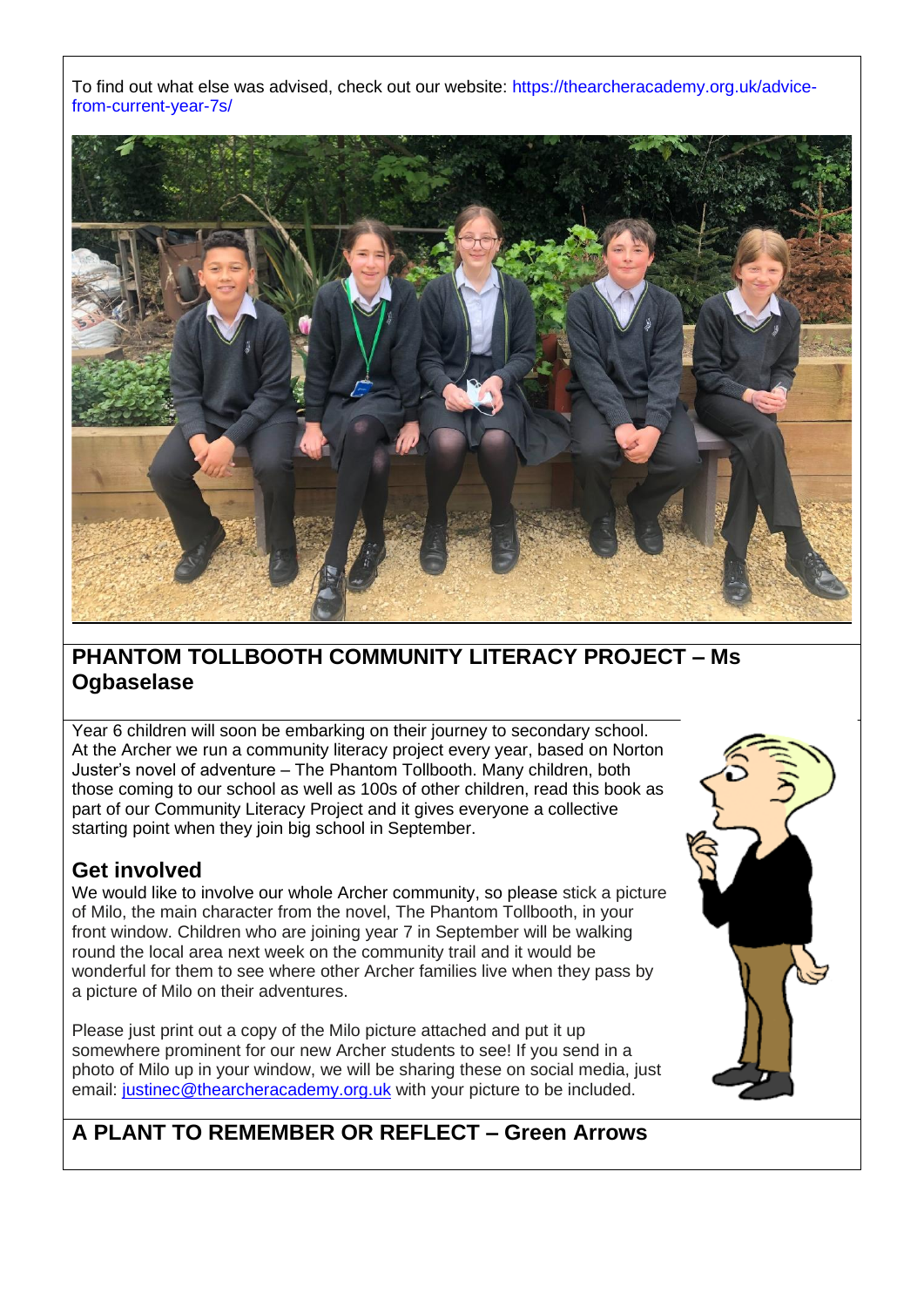To find out what else was advised, check out our website: [https://thearcheracademy.org.uk/advice](https://thearcheracademy.org.uk/advice-from-current-year-7s/)[from-current-year-7s/](https://thearcheracademy.org.uk/advice-from-current-year-7s/)



### **PHANTOM TOLLBOOTH COMMUNITY LITERACY PROJECT – Ms Ogbaselase**

Year 6 children will soon be embarking on their journey to secondary school. At the Archer we run a community literacy project every year, based on Norton Juster's novel of adventure – The Phantom Tollbooth. Many children, both those coming to our school as well as 100s of other children, read this book as part of our Community Literacy Project and it gives everyone a collective starting point when they join big school in September.

### **Get involved**

We would like to involve our whole Archer community, so please stick a picture of Milo, the main character from the novel, The Phantom Tollbooth, in your front window. Children who are joining year 7 in September will be walking round the local area next week on the community trail and it would be wonderful for them to see where other Archer families live when they pass by a picture of Milo on their adventures.

Please just print out a copy of the Milo picture attached and put it up somewhere prominent for our new Archer students to see! If you send in a photo of Milo up in your window, we will be sharing these on social media, just email: [justinec@thearcheracademy.org.uk](mailto:justinec@thearcheracademy.org.uk) with your picture to be included.



### **A PLANT TO REMEMBER OR REFLECT – Green Arrows**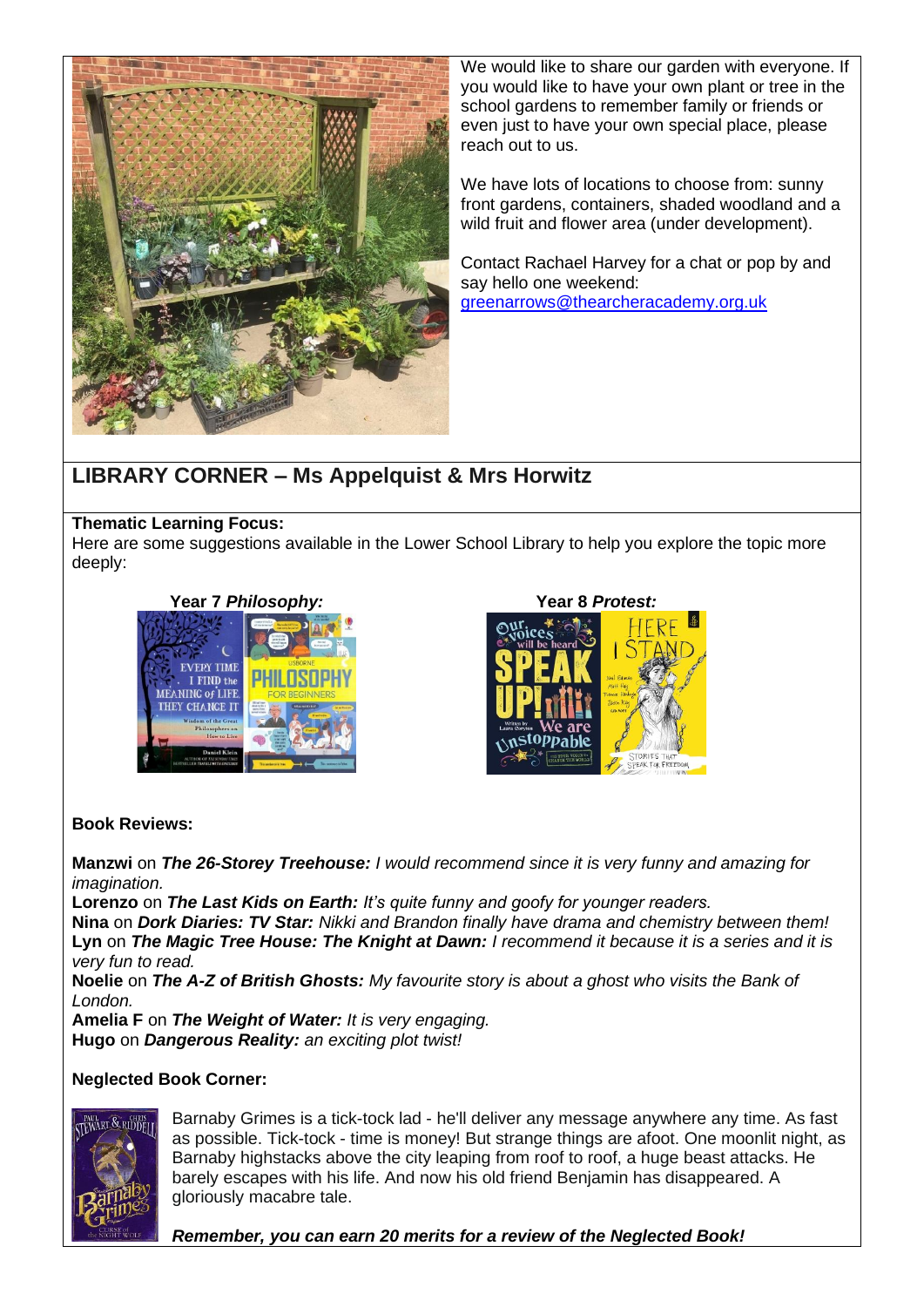

We would like to share our garden with everyone. If you would like to have your own plant or tree in the school gardens to remember family or friends or even just to have your own special place, please reach out to us.

We have lots of locations to choose from: sunny front gardens, containers, shaded woodland and a wild fruit and flower area (under development).

Contact Rachael Harvey for a chat or pop by and say hello one weekend: [greenarrows@thearcheracademy.org.uk](mailto:greenarrows@thearcheracademy.org.uk)

### **LIBRARY CORNER – Ms Appelquist & Mrs Horwitz**

#### **Thematic Learning Focus:**

Here are some suggestions available in the Lower School Library to help you explore the topic more deeply:





#### **Book Reviews:**

**Manzwi** on *The 26-Storey Treehouse: I would recommend since it is very funny and amazing for imagination.*

**Lorenzo** on *The Last Kids on Earth: It's quite funny and goofy for younger readers.* **Nina** on *Dork Diaries: TV Star: Nikki and Brandon finally have drama and chemistry between them!* **Lyn** on *The Magic Tree House: The Knight at Dawn: I recommend it because it is a series and it is very fun to read.*

**Noelie** on *The A-Z of British Ghosts: My favourite story is about a ghost who visits the Bank of London.*

**Amelia F** on *The Weight of Water: It is very engaging.* **Hugo** on *Dangerous Reality: an exciting plot twist!*

#### **Neglected Book Corner:**



Barnaby Grimes is a tick-tock lad - he'll deliver any message anywhere any time. As fast as possible. Tick-tock - time is money! But strange things are afoot. One moonlit night, as Barnaby highstacks above the city leaping from roof to roof, a huge beast attacks. He barely escapes with his life. And now his old friend Benjamin has disappeared. A gloriously macabre tale.

*Remember, you can earn 20 merits for a review of the Neglected Book!*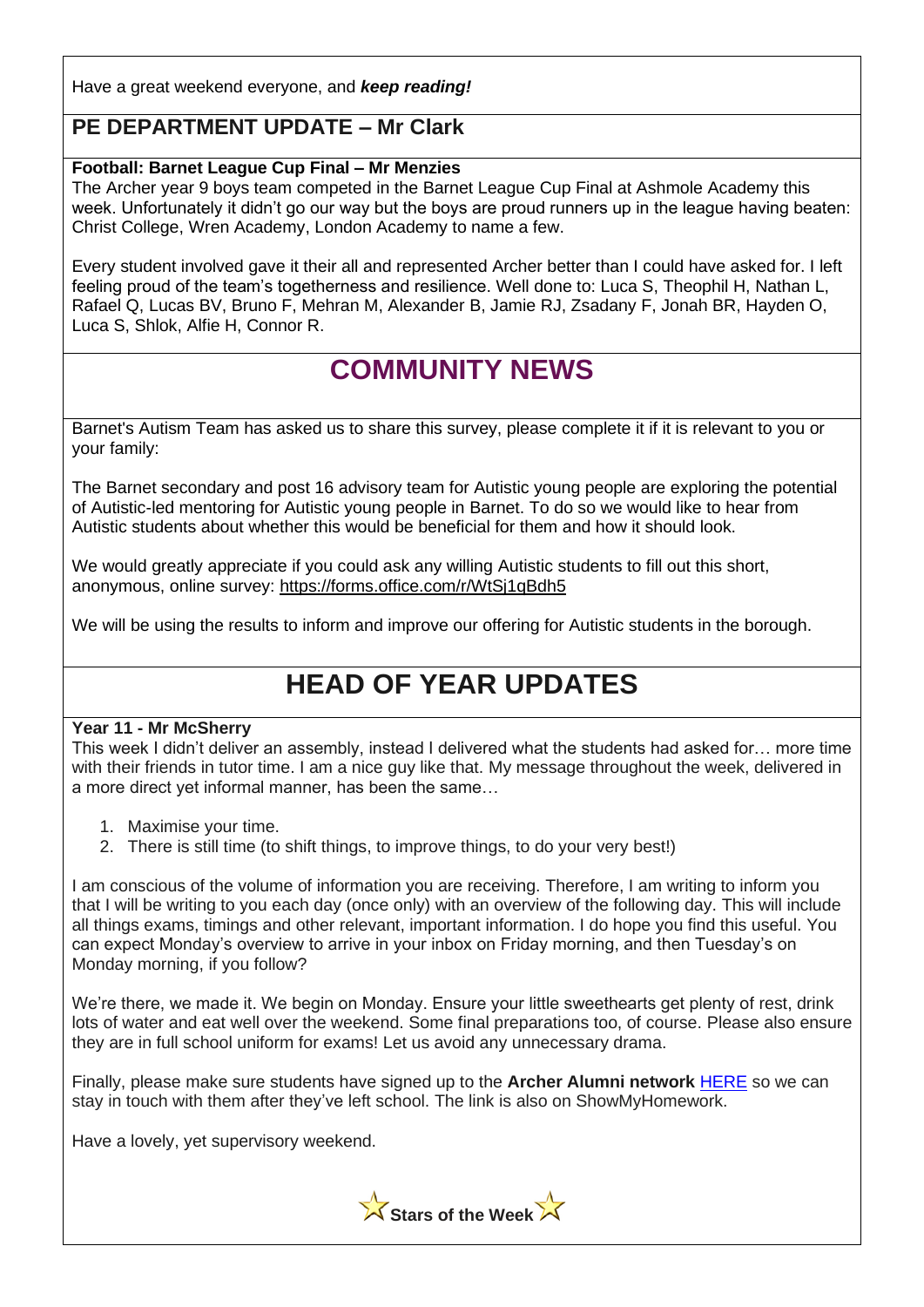Have a great weekend everyone, and *keep reading!*

### **PE DEPARTMENT UPDATE – Mr Clark**

#### **Football: Barnet League Cup Final – Mr Menzies**

The Archer year 9 boys team competed in the Barnet League Cup Final at Ashmole Academy this week. Unfortunately it didn't go our way but the boys are proud runners up in the league having beaten: Christ College, Wren Academy, London Academy to name a few.

Every student involved gave it their all and represented Archer better than I could have asked for. I left feeling proud of the team's togetherness and resilience. Well done to: Luca S, Theophil H, Nathan L, Rafael Q, Lucas BV, Bruno F, Mehran M, Alexander B, Jamie RJ, Zsadany F, Jonah BR, Hayden O, Luca S, Shlok, Alfie H, Connor R.

# **COMMUNITY NEWS**

Barnet's Autism Team has asked us to share this survey, please complete it if it is relevant to you or your family:

The Barnet secondary and post 16 advisory team for Autistic young people are exploring the potential of Autistic-led mentoring for Autistic young people in Barnet. To do so we would like to hear from Autistic students about whether this would be beneficial for them and how it should look.

We would greatly appreciate if you could ask any willing Autistic students to fill out this short, anonymous, online survey: [https://forms.office.com/r/WtSj1qBdh5](https://gbr01.safelinks.protection.outlook.com/?url=https%3A%2F%2Fforms.office.com%2Fr%2FWtSj1qBdh5&data=05%7C01%7CMala.Perera%40Barnet.gov.uk%7C095d52cd2e3346f7a30a08da334768dc%7C1ba468b914144675be4f53c478ad47bb%7C0%7C0%7C637878679032746787%7CUnknown%7CTWFpbGZsb3d8eyJWIjoiMC4wLjAwMDAiLCJQIjoiV2luMzIiLCJBTiI6Ik1haWwiLCJXVCI6Mn0%3D%7C3000%7C%7C%7C&sdata=f5PPyPboQrR5iWYqKVsAl5ZodlTQpwp1ZVPStmSibVY%3D&reserved=0)

We will be using the results to inform and improve our offering for Autistic students in the borough.

# **HEAD OF YEAR UPDATES**

#### **Year 11 - Mr McSherry**

This week I didn't deliver an assembly, instead I delivered what the students had asked for… more time with their friends in tutor time. I am a nice guy like that. My message throughout the week, delivered in a more direct yet informal manner, has been the same…

- 1. Maximise your time.
- 2. There is still time (to shift things, to improve things, to do your very best!)

I am conscious of the volume of information you are receiving. Therefore, I am writing to inform you that I will be writing to you each day (once only) with an overview of the following day. This will include all things exams, timings and other relevant, important information. I do hope you find this useful. You can expect Monday's overview to arrive in your inbox on Friday morning, and then Tuesday's on Monday morning, if you follow?

We're there, we made it. We begin on Monday. Ensure your little sweethearts get plenty of rest, drink lots of water and eat well over the weekend. Some final preparations too, of course. Please also ensure they are in full school uniform for exams! Let us avoid any unnecessary drama.

Finally, please make sure students have signed up to the **Archer Alumni network** [HERE](https://form.jotform.com/mha47/year-11-leavers-data-capture-form) so we can stay in touch with them after they've left school. The link is also on ShowMyHomework.

Have a lovely, yet supervisory weekend.

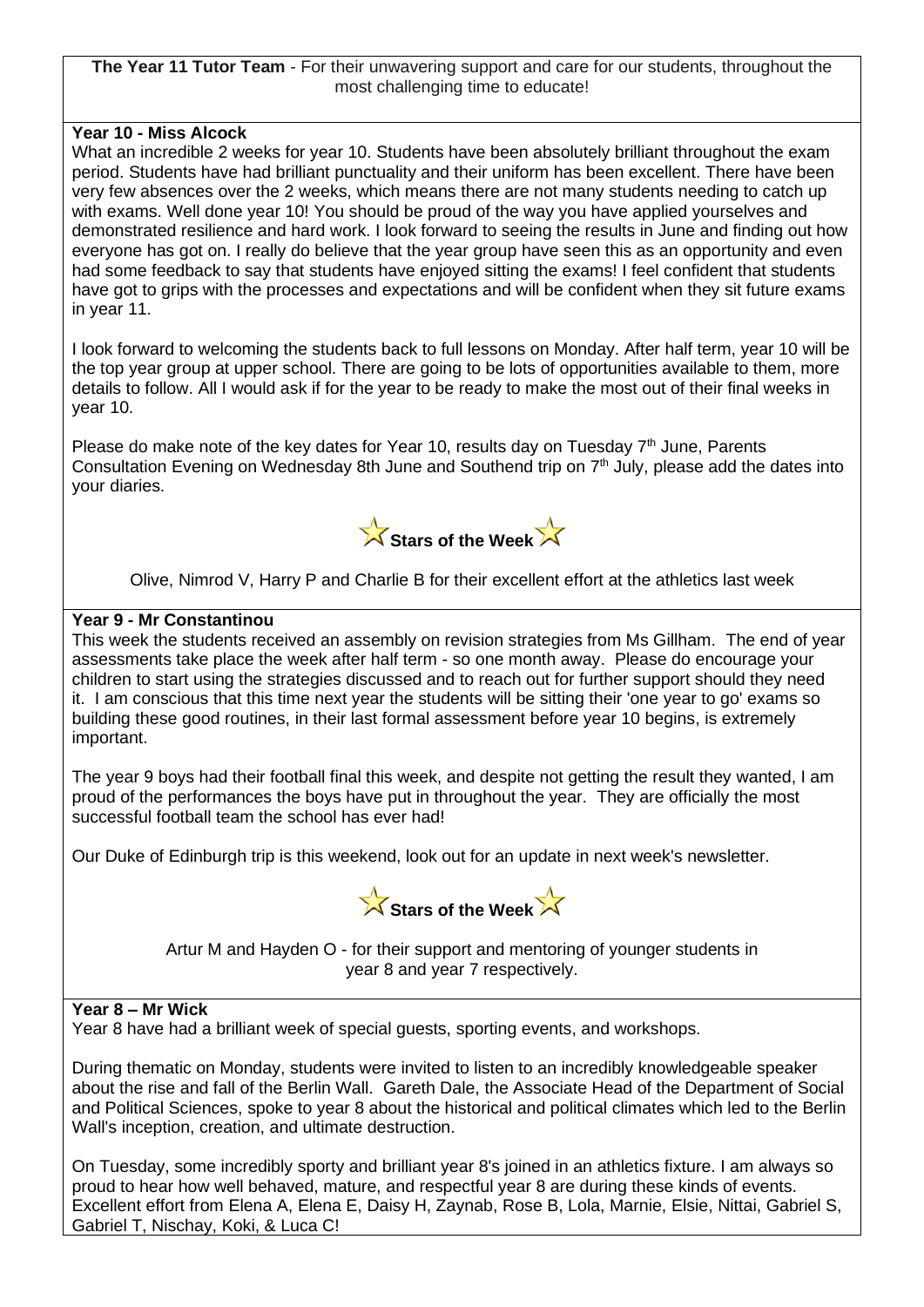**The Year 11 Tutor Team** - For their unwavering support and care for our students, throughout the most challenging time to educate!

#### **Year 10 - Miss Alcock**

What an incredible 2 weeks for year 10. Students have been absolutely brilliant throughout the exam period. Students have had brilliant punctuality and their uniform has been excellent. There have been very few absences over the 2 weeks, which means there are not many students needing to catch up with exams. Well done year 10! You should be proud of the way you have applied yourselves and demonstrated resilience and hard work. I look forward to seeing the results in June and finding out how everyone has got on. I really do believe that the year group have seen this as an opportunity and even had some feedback to say that students have enjoyed sitting the exams! I feel confident that students have got to grips with the processes and expectations and will be confident when they sit future exams in year 11.

I look forward to welcoming the students back to full lessons on Monday. After half term, year 10 will be the top year group at upper school. There are going to be lots of opportunities available to them, more details to follow. All I would ask if for the year to be ready to make the most out of their final weeks in year 10.

Please do make note of the key dates for Year 10, results day on Tuesday  $7<sup>th</sup>$  June, Parents Consultation Evening on Wednesday 8th June and Southend trip on 7<sup>th</sup> July, please add the dates into your diaries.



Olive, Nimrod V, Harry P and Charlie B for their excellent effort at the athletics last week

#### **Year 9 - Mr Constantinou**

This week the students received an assembly on revision strategies from Ms Gillham. The end of year assessments take place the week after half term - so one month away. Please do encourage your children to start using the strategies discussed and to reach out for further support should they need it. I am conscious that this time next year the students will be sitting their 'one year to go' exams so building these good routines, in their last formal assessment before year 10 begins, is extremely important.

The year 9 boys had their football final this week, and despite not getting the result they wanted, I am proud of the performances the boys have put in throughout the year. They are officially the most successful football team the school has ever had!

Our Duke of Edinburgh trip is this weekend, look out for an update in next week's newsletter.



Artur M and Hayden O - for their support and mentoring of younger students in year 8 and year 7 respectively.

#### **Year 8 – Mr Wick**

Year 8 have had a brilliant week of special guests, sporting events, and workshops.

During thematic on Monday, students were invited to listen to an incredibly knowledgeable speaker about the rise and fall of the Berlin Wall. Gareth Dale, the Associate Head of the Department of Social and Political Sciences, spoke to year 8 about the historical and political climates which led to the Berlin Wall's inception, creation, and ultimate destruction.

On Tuesday, some incredibly sporty and brilliant year 8's joined in an athletics fixture. I am always so proud to hear how well behaved, mature, and respectful year 8 are during these kinds of events. Excellent effort from Elena A, Elena E, Daisy H, Zaynab, Rose B, Lola, Marnie, Elsie, Nittai, Gabriel S, Gabriel T, Nischay, Koki, & Luca C!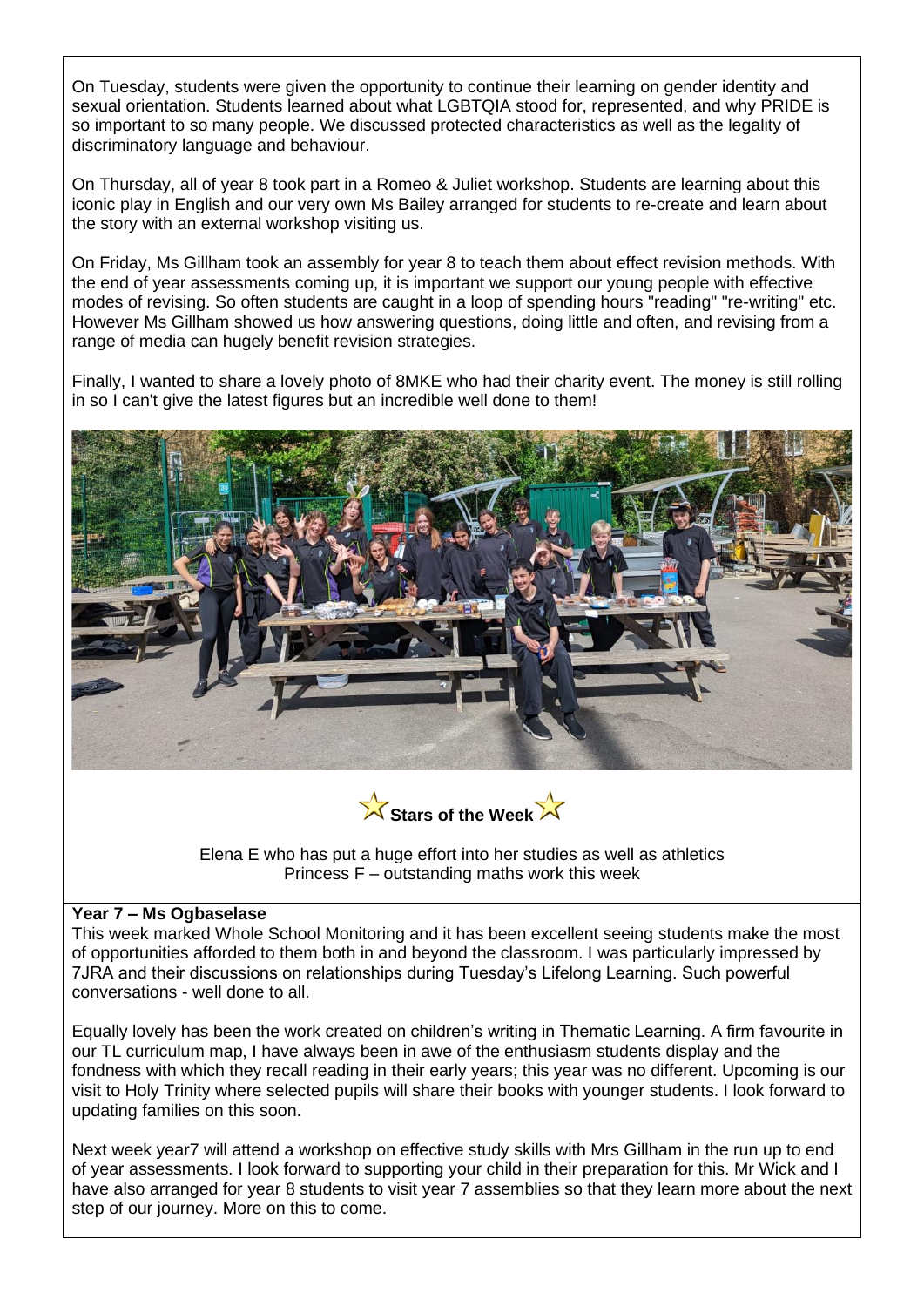On Tuesday, students were given the opportunity to continue their learning on gender identity and sexual orientation. Students learned about what LGBTQIA stood for, represented, and why PRIDE is so important to so many people. We discussed protected characteristics as well as the legality of discriminatory language and behaviour.

On Thursday, all of year 8 took part in a Romeo & Juliet workshop. Students are learning about this iconic play in English and our very own Ms Bailey arranged for students to re-create and learn about the story with an external workshop visiting us.

On Friday, Ms Gillham took an assembly for year 8 to teach them about effect revision methods. With the end of year assessments coming up, it is important we support our young people with effective modes of revising. So often students are caught in a loop of spending hours "reading" "re-writing" etc. However Ms Gillham showed us how answering questions, doing little and often, and revising from a range of media can hugely benefit revision strategies.

Finally, I wanted to share a lovely photo of 8MKE who had their charity event. The money is still rolling in so I can't give the latest figures but an incredible well done to them!





Elena E who has put a huge effort into her studies as well as athletics Princess F – outstanding maths work this week

#### **Year 7 – Ms Ogbaselase**

This week marked Whole School Monitoring and it has been excellent seeing students make the most of opportunities afforded to them both in and beyond the classroom. I was particularly impressed by 7JRA and their discussions on relationships during Tuesday's Lifelong Learning. Such powerful conversations - well done to all.

Equally lovely has been the work created on children's writing in Thematic Learning. A firm favourite in our TL curriculum map, I have always been in awe of the enthusiasm students display and the fondness with which they recall reading in their early years; this year was no different. Upcoming is our visit to Holy Trinity where selected pupils will share their books with younger students. I look forward to updating families on this soon.

Next week year7 will attend a workshop on effective study skills with Mrs Gillham in the run up to end of year assessments. I look forward to supporting your child in their preparation for this. Mr Wick and I have also arranged for year 8 students to visit year 7 assemblies so that they learn more about the next step of our journey. More on this to come.